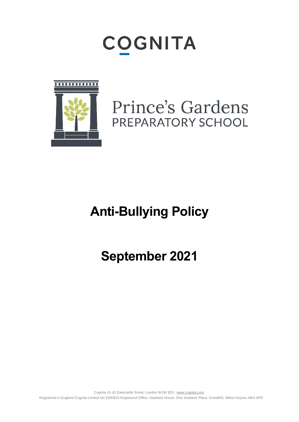# COGNITA



### Prince's Gardens PREPARATORY SCHOOL

## **Anti-Bullying Policy**

### **September 2021**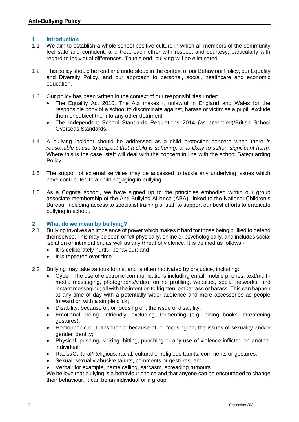#### **1 Introduction**

- 1.1 We aim to establish a whole school positive culture in which all members of the community feel safe and confident, and treat each other with respect and courtesy, particularly with regard to individual differences. To this end, bullying will be eliminated.
- 1.2 This policy should be read and understood in the context of our Behaviour Policy, our Equality and Diversity Policy, and our approach to personal, social, healthcare and economic education.
- 1.3 Our policy has been written in the context of our responsibilities under:
	- The Equality Act 2010. The Act makes it unlawful in England and Wales for the responsible body of a school to discriminate against, harass or victimise a pupil, exclude them or subject them to any other detriment.
	- The Independent School Standards Regulations 2014 (as amended)/British School Overseas Standards.
- 1.4 A bullying incident should be addressed as a child protection concern when there *is reasonable cause to suspect that a child is suffering, or is likely to suffer, significant harm.*  Where this is the case, staff will deal with the concern in line with the school Safeguarding Policy.
- 1.5 The support of external services may be accessed to tackle any underlying issues which have contributed to a child engaging in bullying.
- 1.6 As a Cognita school, we have signed up to the principles embodied within our group associate membership of the Anti-Bullying Alliance (ABA), linked to the National Children's Bureau, including access to specialist training of staff to support our best efforts to eradicate bullying in school.

#### **2 What do we mean by bullying?**

- 2.1 Bullying involves an imbalance of power which makes it hard for those being bullied to defend themselves. This may be seen or felt physically, online or psychologically, and includes social isolation or intimidation, as well as any threat of violence. It is defined as follows:-
	- It is deliberately hurtful behaviour; and
	- It is repeated over time.
- 2.2 Bullying may take various forms, and is often motivated by prejudice, including:
	- Cyber: The use of electronic communications including email, mobile phones, text/multimedia messaging, photographs/video, online profiling, websites, social networks, and instant messaging; all with the intention to frighten, embarrass or harass. This can happen at any time of day with a potentially wider audience and more accessories as people forward on with a simple click;
	- Disability: because of, or focusing on, the issue of disability;
	- Emotional: being unfriendly, excluding, tormenting (e.g. hiding books, threatening gestures);
	- Homophobic or Transphobic: because of, or focusing on, the issues of sexuality and/or gender identity;
	- Physical: pushing, kicking, hitting, punching or any use of violence inflicted on another individual;
	- Racist/Cultural/Religious: racial, cultural or religious taunts, comments or gestures;
	- Sexual: sexually abusive taunts, comments or gestures; and
	- Verbal: for example, name calling, sarcasm, spreading rumours.

We believe that bullying is a behaviour choice and that anyone can be encouraged to change their behaviour. It can be an individual or a group.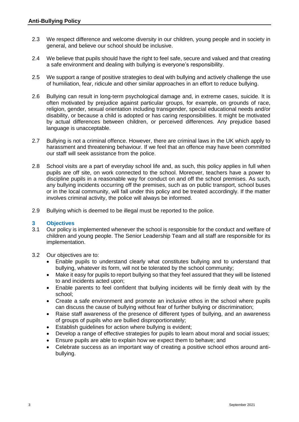- 2.3 We respect difference and welcome diversity in our children, young people and in society in general, and believe our school should be inclusive.
- 2.4 We believe that pupils should have the right to feel safe, secure and valued and that creating a safe environment and dealing with bullying is everyone's responsibility.
- 2.5 We support a range of positive strategies to deal with bullying and actively challenge the use of humiliation, fear, ridicule and other similar approaches in an effort to reduce bullying.
- 2.6 Bullying can result in long-term psychological damage and, in extreme cases, suicide. It is often motivated by prejudice against particular groups, for example, on grounds of race, religion, gender, sexual orientation including transgender, special educational needs and/or disability, or because a child is adopted or has caring responsibilities. It might be motivated by actual differences between children, or perceived differences. Any prejudice based language is unacceptable.
- 2.7 Bullying is not a criminal offence. However, there are criminal laws in the UK which apply to harassment and threatening behaviour. If we feel that an offence may have been committed our staff will seek assistance from the police.
- 2.8 School visits are a part of everyday school life and, as such, this policy applies in full when pupils are off site, on work connected to the school. Moreover, teachers have a power to discipline pupils in a reasonable way for conduct on and off the school premises. As such, any bullying incidents occurring off the premises, such as on public transport, school buses or in the local community, will fall under this policy and be treated accordingly. If the matter involves criminal activity, the police will always be informed.
- 2.9 Bullying which is deemed to be illegal must be reported to the police.

#### **3 Objectives**

- 3.1 Our policy is implemented whenever the school is responsible for the conduct and welfare of children and young people. The Senior Leadership Team and all staff are responsible for its implementation.
- 3.2 Our objectives are to:
	- Enable pupils to understand clearly what constitutes bullying and to understand that bullying, whatever its form, will not be tolerated by the school community;
	- Make it easy for pupils to report bullying so that they feel assured that they will be listened to and incidents acted upon;
	- Enable parents to feel confident that bullying incidents will be firmly dealt with by the school;
	- Create a safe environment and promote an inclusive ethos in the school where pupils can discuss the cause of bullying without fear of further bullying or discrimination;
	- Raise staff awareness of the presence of different types of bullying, and an awareness of groups of pupils who are bullied disproportionately;
	- Establish guidelines for action where bullying is evident;
	- Develop a range of effective strategies for pupils to learn about moral and social issues;
	- Ensure pupils are able to explain how we expect them to behave; and
	- Celebrate success as an important way of creating a positive school ethos around antibullying.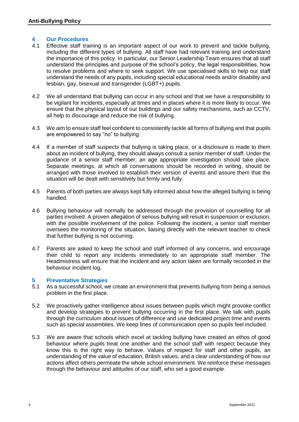#### **4 Our Procedures**

- 4.1 Effective staff training is an important aspect of our work to prevent and tackle bullying, including the different types of bullying. All staff have had relevant training and understand the importance of this policy. In particular, our Senior Leadership Team ensures that all staff understand the principles and purpose of the school's policy, the legal responsibilities, how to resolve problems and where to seek support. We use specialised skills to help our staff understand the needs of any pupils, including special educational needs and/or disability and lesbian, gay, bisexual and transgender (LGBT+) pupils.
- 4.2 We all understand that bullying can occur in any school and that we have a responsibility to be vigilant for incidents, especially at times and in places where it is more likely to occur. We ensure that the physical layout of our buildings and our safety mechanisms, such as CCTV, all help to discourage and reduce the risk of bullying.
- 4.3 We aim to ensure staff feel confident to consistently tackle all forms of bullying and that pupils are empowered to say "no" to bullying.
- 4.4 If a member of staff suspects that bullying is taking place, or a disclosure is made to them about an incident of bullying, they should always consult a senior member of staff. Under the guidance of a senior staff member, an age appropriate investigation should take place. Separate meetings, at which all conversations should be recorded in writing, should be arranged with those involved to establish their version of events and assure them that the situation will be dealt with sensitively but firmly and fully.
- 4.5 Parents of both parties are always kept fully informed about how the alleged bullying is being handled.
- 4.6 Bullying behaviour will normally be addressed through the provision of counselling for all parties involved. A proven allegation of serious bullying will result in suspension or exclusion, with the possible involvement of the police. Following the incident, a senior staff member oversees the monitoring of the situation, liaising directly with the relevant teacher to check that further bullying is not occurring.
- 4.7 Parents are asked to keep the school and staff informed of any concerns, and encourage their child to report any incidents immediately to an appropriate staff member. The Headmistress will ensure that the incident and any action taken are formally recorded in the behaviour incident log.

#### **5 Preventative Strategies**

- 5.1 As a successful school, we create an environment that prevents bullying from being a serious problem in the first place.
- 5.2 We proactively gather intelligence about issues between pupils which might provoke conflict and develop strategies to prevent bullying occurring in the first place. We talk with pupils through the curriculum about issues of difference and use dedicated project time and events such as special assemblies. We keep lines of communication open so pupils feel included.
- 5.3 We are aware that schools which excel at tackling bullying have created an ethos of good behaviour where pupils treat one another and the school staff with respect because they know this is the right way to behave. Values of respect for staff and other pupils, an understanding of the value of education, British values, and a clear understanding of how our actions affect others permeate the whole school environment. We reinforce these messages through the behaviour and attitudes of our staff, who set a good example.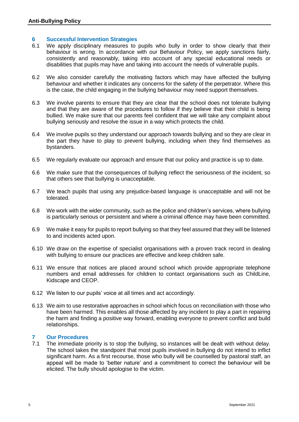#### **6 Successful Intervention Strategies**

- 6.1 We apply disciplinary measures to pupils who bully in order to show clearly that their behaviour is wrong. In accordance with our Behaviour Policy, we apply sanctions fairly, consistently and reasonably, taking into account of any special educational needs or disabilities that pupils may have and taking into account the needs of vulnerable pupils.
- 6.2 We also consider carefully the motivating factors which may have affected the bullying behaviour and whether it indicates any concerns for the safety of the perpetrator. Where this is the case, the child engaging in the bullying behaviour may need support themselves.
- 6.3 We involve parents to ensure that they are clear that the school does not tolerate bullying and that they are aware of the procedures to follow if they believe that their child is being bullied. We make sure that our parents feel confident that we will take any complaint about bullying seriously and resolve the issue in a way which protects the child.
- 6.4 We involve pupils so they understand our approach towards bullying and so they are clear in the part they have to play to prevent bullying, including when they find themselves as bystanders.
- 6.5 We regularly evaluate our approach and ensure that our policy and practice is up to date.
- 6.6 We make sure that the consequences of bullying reflect the seriousness of the incident, so that others see that bullying is unacceptable.
- 6.7 We teach pupils that using any prejudice-based language is unacceptable and will not be tolerated.
- 6.8 We work with the wider community, such as the police and children's services, where bullying is particularly serious or persistent and where a criminal offence may have been committed.
- 6.9 We make it easy for pupils to report bullying so that they feel assured that they will be listened to and incidents acted upon.
- 6.10 We draw on the expertise of specialist organisations with a proven track record in dealing with bullying to ensure our practices are effective and keep children safe.
- 6.11 We ensure that notices are placed around school which provide appropriate telephone numbers and email addresses for children to contact organisations such as ChildLine, Kidscape and CEOP.
- 6.12 We listen to our pupils' voice at all times and act accordingly.
- 6.13 We aim to use restorative approaches in school which focus on reconciliation with those who have been harmed. This enables all those affected by any incident to play a part in repairing the harm and finding a positive way forward, enabling everyone to prevent conflict and build relationships.

#### **7 Our Procedures**

7.1 The immediate priority is to stop the bullying, so instances will be dealt with without delay. The school takes the standpoint that most pupils involved in bullying do not intend to inflict significant harm. As a first recourse, those who bully will be counselled by pastoral staff, an appeal will be made to 'better nature' and a commitment to correct the behaviour will be elicited. The bully should apologise to the victim.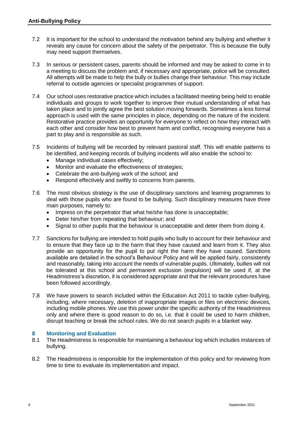- 7.2 It is important for the school to understand the motivation behind any bullying and whether it reveals any cause for concern about the safety of the perpetrator. This is because the bully may need support themselves.
- 7.3 In serious or persistent cases, parents should be informed and may be asked to come in to a meeting to discuss the problem and, if necessary and appropriate, police will be consulted. All attempts will be made to help the bully or bullies change their behaviour. This may include referral to outside agencies or specialist programmes of support.
- 7.4 Our school uses restorative practice which includes a facilitated meeting being held to enable individuals and groups to work together to improve their mutual understanding of what has taken place and to jointly agree the best solution moving forwards. Sometimes a less formal approach is used with the same principles in place, depending on the nature of the incident. Restorative practice provides an opportunity for everyone to reflect on how they interact with each other and consider how best to prevent harm and conflict, recognising everyone has a part to play and is responsible as such.
- 7.5 Incidents of bullying will be recorded by relevant pastoral staff. This will enable patterns to be identified, and keeping records of bullying incidents will also enable the school to:
	- Manage individual cases effectively:
	- Monitor and evaluate the effectiveness of strategies:
	- Celebrate the anti-bullying work of the school; and
	- Respond effectively and swiftly to concerns from parents.
- 7.6 The most obvious strategy is the use of disciplinary sanctions and learning programmes to deal with those pupils who are found to be bullying. Such disciplinary measures have three main purposes, namely to:
	- Impress on the perpetrator that what he/she has done is unacceptable;
	- Deter him/her from repeating that behaviour; and
	- Signal to other pupils that the behaviour is unacceptable and deter them from doing it.
- 7.7 Sanctions for bullying are intended to hold pupils who bully to account for their behaviour and to ensure that they face up to the harm that they have caused and learn from it. They also provide an opportunity for the pupil to put right the harm they have caused. Sanctions available are detailed in the school's Behaviour Policy and will be applied fairly, consistently and reasonably, taking into account the needs of vulnerable pupils. Ultimately, bullies will not be tolerated at this school and permanent exclusion (expulsion) will be used if, at the Headmistress's discretion, it is considered appropriate and that the relevant procedures have been followed accordingly.
- 7.8 We have powers to search included within the Education Act 2011 to tackle cyber-bullying, including, where necessary, deletion of inappropriate images or files on electronic devices, including mobile phones. We use this power under the specific authority of the Headmistress only and where there is good reason to do so, i.e. that it could be used to harm children, disrupt teaching or break the school rules. We do not search pupils in a blanket way.

#### **8 Monitoring and Evaluation**

- 8.1 The Headmistress is responsible for maintaining a behaviour log which includes instances of bullying.
- 8.2 The Headmistress is responsible for the implementation of this policy and for reviewing from time to time to evaluate its implementation and impact.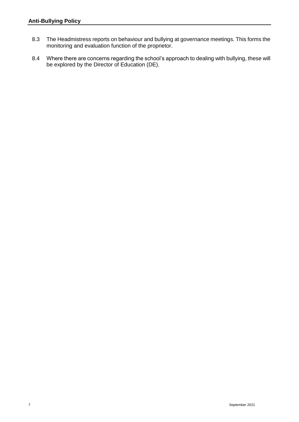- 8.3 The Headmistress reports on behaviour and bullying at governance meetings. This forms the monitoring and evaluation function of the proprietor.
- 8.4 Where there are concerns regarding the school's approach to dealing with bullying, these will be explored by the Director of Education (DE).